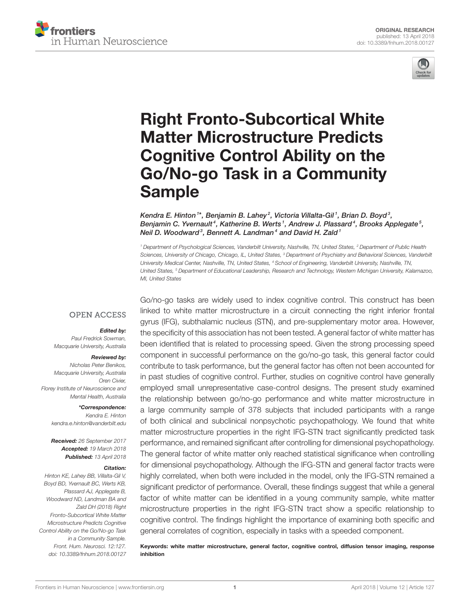



# Right Fronto-Subcortical White Matter Microstructure Predicts Cognitive Control Ability on the [Go/No-go Task in a Community](https://www.frontiersin.org/articles/10.3389/fnhum.2018.00127/full) Sample

[Kendra E. Hinton](http://loop.frontiersin.org/people/479702/overview) <sup>1\*</sup>, [Benjamin B. Lahey](http://loop.frontiersin.org/people/546194/overview)<sup>2</sup>, Victoria Villalta-Gil <sup>1</sup>, Brian D. Boyd <sup>3</sup>, Benjamin C. Yvernault<sup>4</sup>, Katherine B. Werts1, Andrew J. Plassard<sup>4</sup>, [Brooks Applegate](http://loop.frontiersin.org/people/528051/overview)<sup>5</sup>, Neil D. Woodward<sup>3</sup>, Bennett A. Landman<sup>4</sup> and [David H. Zald](http://loop.frontiersin.org/people/18834/overview)1

*<sup>1</sup> Department of Psychological Sciences, Vanderbilt University, Nashville, TN, United States, <sup>2</sup> Department of Public Health Sciences, University of Chicago, Chicago, IL, United States, <sup>3</sup> Department of Psychiatry and Behavioral Sciences, Vanderbilt University Medical Center, Nashville, TN, United States, <sup>4</sup> School of Engineering, Vanderbilt University, Nashville, TN, United States, <sup>5</sup> Department of Educational Leadership, Research and Technology, Western Michigan University, Kalamazoo, MI, United States*

# **OPEN ACCESS**

# Edited by:

*Paul Fredrick Sowman, Macquarie University, Australia*

#### Reviewed by:

*Nicholas Peter Benikos, Macquarie University, Australia Oren Civier, Florey Institute of Neuroscience and Mental Health, Australia*

> \*Correspondence: *Kendra E. Hinton [kendra.e.hinton@vanderbilt.edu](mailto:kendra.e.hinton@vanderbilt.edu)*

Received: *26 September 2017* Accepted: *19 March 2018* Published: *13 April 2018*

#### Citation:

*Hinton KE, Lahey BB, Villalta-Gil V, Boyd BD, Yvernault BC, Werts KB, Plassard AJ, Applegate B, Woodward ND, Landman BA and Zald DH (2018) Right Fronto-Subcortical White Matter Microstructure Predicts Cognitive Control Ability on the Go/No-go Task in a Community Sample. Front. Hum. Neurosci. 12:127. doi: [10.3389/fnhum.2018.00127](https://doi.org/10.3389/fnhum.2018.00127)*

Go/no-go tasks are widely used to index cognitive control. This construct has been linked to white matter microstructure in a circuit connecting the right inferior frontal gyrus (IFG), subthalamic nucleus (STN), and pre-supplementary motor area. However, the specificity of this association has not been tested. A general factor of white matter has been identified that is related to processing speed. Given the strong processing speed component in successful performance on the go/no-go task, this general factor could contribute to task performance, but the general factor has often not been accounted for in past studies of cognitive control. Further, studies on cognitive control have generally employed small unrepresentative case-control designs. The present study examined the relationship between go/no-go performance and white matter microstructure in a large community sample of 378 subjects that included participants with a range of both clinical and subclinical nonpsychotic psychopathology. We found that white matter microstructure properties in the right IFG-STN tract significantly predicted task performance, and remained significant after controlling for dimensional psychopathology. The general factor of white matter only reached statistical significance when controlling for dimensional psychopathology. Although the IFG-STN and general factor tracts were highly correlated, when both were included in the model, only the IFG-STN remained a significant predictor of performance. Overall, these findings suggest that while a general factor of white matter can be identified in a young community sample, white matter microstructure properties in the right IFG-STN tract show a specific relationship to cognitive control. The findings highlight the importance of examining both specific and general correlates of cognition, especially in tasks with a speeded component.

Keywords: white matter microstructure, general factor, cognitive control, diffusion tensor imaging, response inhibition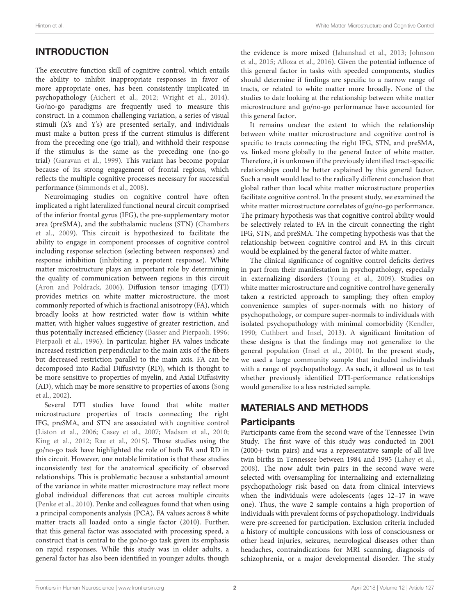# INTRODUCTION

The executive function skill of cognitive control, which entails the ability to inhibit inappropriate responses in favor of more appropriate ones, has been consistently implicated in psychopathology [\(Aichert et al., 2012;](#page-9-0) [Wright et al., 2014\)](#page-10-0). Go/no-go paradigms are frequently used to measure this construct. In a common challenging variation, a series of visual stimuli (X's and Y's) are presented serially, and individuals must make a button press if the current stimulus is different from the preceding one (go trial), and withhold their response if the stimulus is the same as the preceding one (no-go trial) [\(Garavan et al., 1999\)](#page-9-1). This variant has become popular because of its strong engagement of frontal regions, which reflects the multiple cognitive processes necessary for successful performance [\(Simmonds et al., 2008\)](#page-10-1).

Neuroimaging studies on cognitive control have often implicated a right lateralized functional neural circuit comprised of the inferior frontal gyrus (IFG), the pre-supplementary motor area (preSMA), and the subthalamic nucleus (STN) (Chambers et al., [2009\)](#page-9-2). This circuit is hypothesized to facilitate the ability to engage in component processes of cognitive control including response selection (selecting between responses) and response inhibition (inhibiting a prepotent response). White matter microstructure plays an important role by determining the quality of communication between regions in this circuit [\(Aron and Poldrack, 2006\)](#page-9-3). Diffusion tensor imaging (DTI) provides metrics on white matter microstructure, the most commonly reported of which is fractional anisotropy (FA), which broadly looks at how restricted water flow is within white matter, with higher values suggestive of greater restriction, and thus potentially increased efficiency [\(Basser and Pierpaoli, 1996;](#page-9-4) [Pierpaoli et al., 1996\)](#page-10-2). In particular, higher FA values indicate increased restriction perpendicular to the main axis of the fibers but decreased restriction parallel to the main axis. FA can be decomposed into Radial Diffusivity (RD), which is thought to be more sensitive to properties of myelin, and Axial Diffusivity (AD), which may be more sensitive to properties of axons (Song et al., [2002\)](#page-10-3).

Several DTI studies have found that white matter microstructure properties of tracts connecting the right IFG, preSMA, and STN are associated with cognitive control [\(Liston et al., 2006;](#page-10-4) [Casey et al., 2007;](#page-9-5) [Madsen et al., 2010;](#page-10-5) [King et al., 2012;](#page-9-6) [Rae et al., 2015\)](#page-10-6). Those studies using the go/no-go task have highlighted the role of both FA and RD in this circuit. However, one notable limitation is that these studies inconsistently test for the anatomical specificity of observed relationships. This is problematic because a substantial amount of the variance in white matter microstructure may reflect more global individual differences that cut across multiple circuits [\(Penke et al., 2010\)](#page-10-7). Penke and colleagues found that when using a principal components analysis (PCA), FA values across 8 white matter tracts all loaded onto a single factor (2010). Further, that this general factor was associated with processing speed, a construct that is central to the go/no-go task given its emphasis on rapid responses. While this study was in older adults, a general factor has also been identified in younger adults, though the evidence is more mixed [\(Jahanshad et al., 2013;](#page-9-7) Johnson et al., [2015;](#page-9-8) [Alloza et al., 2016\)](#page-9-9). Given the potential influence of this general factor in tasks with speeded components, studies should determine if findings are specific to a narrow range of tracts, or related to white matter more broadly. None of the studies to date looking at the relationship between white matter microstructure and go/no-go performance have accounted for this general factor.

It remains unclear the extent to which the relationship between white matter microstructure and cognitive control is specific to tracts connecting the right IFG, STN, and preSMA, vs. linked more globally to the general factor of white matter. Therefore, it is unknown if the previously identified tract-specific relationships could be better explained by this general factor. Such a result would lead to the radically different conclusion that global rather than local white matter microstructure properties facilitate cognitive control. In the present study, we examined the white matter microstructure correlates of go/no-go performance. The primary hypothesis was that cognitive control ability would be selectively related to FA in the circuit connecting the right IFG, STN, and preSMA. The competing hypothesis was that the relationship between cognitive control and FA in this circuit would be explained by the general factor of white matter.

The clinical significance of cognitive control deficits derives in part from their manifestation in psychopathology, especially in externalizing disorders [\(Young et al., 2009\)](#page-10-8). Studies on white matter microstructure and cognitive control have generally taken a restricted approach to sampling; they often employ convenience samples of super-normals with no history of psychopathology, or compare super-normals to individuals with isolated psychopathology with minimal comorbidity [\(Kendler,](#page-9-10) [1990;](#page-9-10) [Cuthbert and Insel, 2013\)](#page-9-11). A significant limitation of these designs is that the findings may not generalize to the general population [\(Insel et al., 2010\)](#page-9-12). In the present study, we used a large community sample that included individuals with a range of psychopathology. As such, it allowed us to test whether previously identified DTI-performance relationships would generalize to a less restricted sample.

# MATERIALS AND METHODS

# **Participants**

Participants came from the second wave of the Tennessee Twin Study. The first wave of this study was conducted in 2001 (2000+ twin pairs) and was a representative sample of all live twin births in Tennessee between 1984 and 1995 [\(Lahey et al.,](#page-9-13) [2008\)](#page-9-13). The now adult twin pairs in the second wave were selected with oversampling for internalizing and externalizing psychopathology risk based on data from clinical interviews when the individuals were adolescents (ages 12–17 in wave one). Thus, the wave 2 sample contains a high proportion of individuals with prevalent forms of psychopathology. Individuals were pre-screened for participation. Exclusion criteria included a history of multiple concussions with loss of consciousness or other head injuries, seizures, neurological diseases other than headaches, contraindications for MRI scanning, diagnosis of schizophrenia, or a major developmental disorder. The study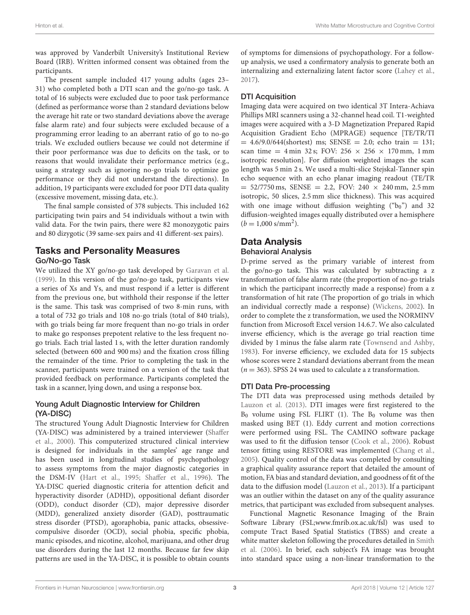was approved by Vanderbilt University's Institutional Review Board (IRB). Written informed consent was obtained from the participants.

The present sample included 417 young adults (ages 23– 31) who completed both a DTI scan and the go/no-go task. A total of 16 subjects were excluded due to poor task performance (defined as performance worse than 2 standard deviations below the average hit rate or two standard deviations above the average false alarm rate) and four subjects were excluded because of a programming error leading to an aberrant ratio of go to no-go trials. We excluded outliers because we could not determine if their poor performance was due to deficits on the task, or to reasons that would invalidate their performance metrics (e.g., using a strategy such as ignoring no-go trials to optimize go performance or they did not understand the directions). In addition, 19 participants were excluded for poor DTI data quality (excessive movement, missing data, etc.).

The final sample consisted of 378 subjects. This included 162 participating twin pairs and 54 individuals without a twin with valid data. For the twin pairs, there were 82 monozygotic pairs and 80 dizygotic (39 same-sex pairs and 41 different-sex pairs).

# Tasks and Personality Measures Go/No-go Task

We utilized the XY go/no-go task developed by [Garavan et al.](#page-9-1) [\(1999\)](#page-9-1). In this version of the go/no-go task, participants view a series of Xs and Ys, and must respond if a letter is different from the previous one, but withhold their response if the letter is the same. This task was comprised of two 8-min runs, with a total of 732 go trials and 108 no-go trials (total of 840 trials), with go trials being far more frequent than no-go trials in order to make go responses prepotent relative to the less frequent nogo trials. Each trial lasted 1 s, with the letter duration randomly selected (between 600 and 900 ms) and the fixation cross filling the remainder of the time. Prior to completing the task in the scanner, participants were trained on a version of the task that provided feedback on performance. Participants completed the task in a scanner, lying down, and using a response box.

### Young Adult Diagnostic Interview for Children (YA-DISC)

The structured Young Adult Diagnostic Interview for Children (YA-DISC) was administered by a trained interviewer (Shaffer et al., [2000\)](#page-10-9). This computerized structured clinical interview is designed for individuals in the samples' age range and has been used in longitudinal studies of psychopathology to assess symptoms from the major diagnostic categories in the DSM-IV [\(Hart et al., 1995;](#page-9-14) [Shaffer et al., 1996\)](#page-10-10). The YA-DISC queried diagnostic criteria for attention deficit and hyperactivity disorder (ADHD), oppositional defiant disorder (ODD), conduct disorder (CD), major depressive disorder (MDD), generalized anxiety disorder (GAD), posttraumatic stress disorder (PTSD), agoraphobia, panic attacks, obsessivecompulsive disorder (OCD), social phobia, specific phobia, manic episodes, and nicotine, alcohol, marijuana, and other drug use disorders during the last 12 months. Because far few skip patterns are used in the YA-DISC, it is possible to obtain counts of symptoms for dimensions of psychopathology. For a followup analysis, we used a confirmatory analysis to generate both an internalizing and externalizing latent factor score [\(Lahey et al.,](#page-9-15) [2017\)](#page-9-15).

# DTI Acquisition

Imaging data were acquired on two identical 3T Intera-Achiava Phillips MRI scanners using a 32-channel head coil. T1-weighted images were acquired with a 3-D Magnetization Prepared Rapid Acquisition Gradient Echo (MPRAGE) sequence [TE/TR/TI  $= 4.6/9.0/644$ (shortest) ms; SENSE  $= 2.0$ ; echo train  $= 131$ ; scan time = 4 min 32 s; FOV:  $256 \times 256 \times 170$  mm, 1 mm isotropic resolution]. For diffusion weighted images the scan length was 5 min 2 s. We used a multi-slice Stejskal-Tanner spin echo sequence with an echo planar imaging readout (TE/TR  $= 52/7750$  ms, SENSE  $= 2.2$ , FOV: 240  $\times$  240 mm, 2.5 mm isotropic, 50 slices, 2.5 mm slice thickness). This was acquired with one image without diffusion weighting  $("b<sub>0</sub>")$  and 32 diffusion-weighted images equally distributed over a hemisphere  $(b = 1,000 \text{ s/mm}^2).$ 

### Data Analysis Behavioral Analysis

D-prime served as the primary variable of interest from the go/no-go task. This was calculated by subtracting a z transformation of false alarm rate (the proportion of no-go trials in which the participant incorrectly made a response) from a z transformation of hit rate (The proportion of go trials in which an individual correctly made a response) [\(Wickens, 2002\)](#page-10-11). In order to complete the z transformation, we used the NORMINV function from Microsoft Excel version 14.6.7. We also calculated inverse efficiency, which is the average go trial reaction time divided by 1 minus the false alarm rate [\(Townsend and Ashby,](#page-10-12) [1983\)](#page-10-12). For inverse efficiency, we excluded data for 15 subjects whose scores were 2 standard deviations aberrant from the mean  $(n = 363)$ . SPSS 24 was used to calculate a z transformation.

# DTI Data Pre-processing

The DTI data was preprocessed using methods detailed by [Lauzon et al. \(2013\)](#page-10-13). DTI images were first registered to the  $B_0$  volume using FSL FLIRT (1). The  $B_0$  volume was then masked using BET (1). Eddy current and motion corrections were performed using FSL. The CAMINO software package was used to fit the diffusion tensor [\(Cook et al., 2006\)](#page-9-16). Robust tensor fitting using RESTORE was implemented [\(Chang et al.,](#page-9-17) [2005\)](#page-9-17). Quality control of the data was completed by consulting a graphical quality assurance report that detailed the amount of motion, FA bias and standard deviation, and goodness of fit of the data to the diffusion model [\(Lauzon et al., 2013\)](#page-10-13). If a participant was an outlier within the dataset on any of the quality assurance metrics, that participant was excluded from subsequent analyses.

Functional Magnetic Resonance Imaging of the Brain Software Library (FSL[;www.fmrib.ox.ac.uk/fsl\)](www.fmrib.ox.ac.uk/fsl) was used to compute Tract Based Spatial Statistics (TBSS) and create a white matter skeleton following the procedures detailed in Smith et al. [\(2006\)](#page-10-14). In brief, each subject's FA image was brought into standard space using a non-linear transformation to the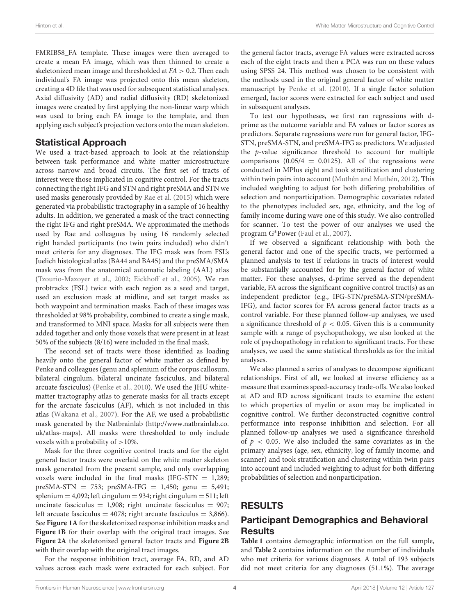FMRIB58\_FA template. These images were then averaged to create a mean FA image, which was then thinned to create a skeletonized mean image and thresholded at  $FA > 0.2$ . Then each individual's FA image was projected onto this mean skeleton, creating a 4D file that was used for subsequent statistical analyses. Axial diffusivity (AD) and radial diffusivity (RD) skeletonized images were created by first applying the non-linear warp which was used to bring each FA image to the template, and then applying each subject's projection vectors onto the mean skeleton.

# Statistical Approach

We used a tract-based approach to look at the relationship between task performance and white matter microstructure across narrow and broad circuits. The first set of tracts of interest were those implicated in cognitive control. For the tracts connecting the right IFG and STN and right preSMA and STN we used masks generously provided by [Rae et al. \(2015\)](#page-10-6) which were generated via probabilistic tractography in a sample of 16 healthy adults. In addition, we generated a mask of the tract connecting the right IFG and right preSMA. We approximated the methods used by Rae and colleagues by using 16 randomly selected right handed participants (no twin pairs included) who didn't meet criteria for any diagnoses. The IFG mask was from FSL's Juelich histological atlas (BA44 and BA45) and the preSMA/SMA mask was from the anatomical automatic labeling (AAL) atlas [\(Tzourio-Mazoyer et al., 2002;](#page-10-15) [Eickhoff et al., 2005\)](#page-9-18). We ran probtrackx (FSL) twice with each region as a seed and target, used an exclusion mask at midline, and set target masks as both waypoint and termination masks. Each of these images was thresholded at 98% probability, combined to create a single mask, and transformed to MNI space. Masks for all subjects were then added together and only those voxels that were present in at least 50% of the subjects (8/16) were included in the final mask.

The second set of tracts were those identified as loading heavily onto the general factor of white matter as defined by Penke and colleagues (genu and splenium of the corpus callosum, bilateral cingulum, bilateral uncinate fasciculus, and bilateral arcuate fasciculus) [\(Penke et al., 2010\)](#page-10-7). We used the JHU whitematter tractography atlas to generate masks for all tracts except for the arcuate fasciculus (AF), which is not included in this atlas [\(Wakana et al., 2007\)](#page-10-16). For the AF, we used a probabilistic mask generated by the Natbrainlab [\(http://www.natbrainlab.co.](http://www.natbrainlab.co.uk/atlas-maps) [uk/atlas-maps\)](http://www.natbrainlab.co.uk/atlas-maps). All masks were thresholded to only include voxels with a probability of >10%.

Mask for the three cognitive control tracts and for the eight general factor tracts were overlaid on the white matter skeleton mask generated from the present sample, and only overlapping voxels were included in the final masks (IFG-STN  $=$  1,289;  $preSMA-STN = 753$ ;  $preSMA-IFG = 1,450$ ;  $genu = 5,491$ ;  $splenium = 4,092$ ; left cingulum = 934; right cingulum = 511; left uncinate fasciculus =  $1,908$ ; right uncinate fasciculus =  $907$ ; left arcuate fasciculus =  $4078$ ; right arcuate fasciculus = 3,866). See **[Figure 1A](#page-4-0)** for the skeletonized response inhibition masks and **[Figure 1B](#page-4-0)** for their overlap with the original tract images. See **[Figure 2A](#page-5-0)** the skeletonized general factor tracts and **[Figure 2B](#page-5-0)** with their overlap with the original tract images.

For the response inhibition tract, average FA, RD, and AD values across each mask were extracted for each subject. For the general factor tracts, average FA values were extracted across each of the eight tracts and then a PCA was run on these values using SPSS 24. This method was chosen to be consistent with the methods used in the original general factor of white matter manuscript by [Penke et al. \(2010\)](#page-10-7). If a single factor solution emerged, factor scores were extracted for each subject and used in subsequent analyses.

To test our hypotheses, we first ran regressions with dprime as the outcome variable and FA values or factor scores as predictors. Separate regressions were run for general factor, IFG-STN, preSMA-STN, and preSMA-IFG as predictors. We adjusted the  $p$ -value significance threshold to account for multiple comparisons  $(0.05/4 = 0.0125)$ . All of the regressions were conducted in MPlus eight and took stratification and clustering within twin pairs into account [\(Muthén and Muthén, 2012\)](#page-10-17). This included weighting to adjust for both differing probabilities of selection and nonparticipation. Demographic covariates related to the phenotypes included sex, age, ethnicity, and the log of family income during wave one of this study. We also controlled for scanner. To test the power of our analyses we used the program G∗Power [\(Faul et al., 2007\)](#page-9-19).

If we observed a significant relationship with both the general factor and one of the specific tracts, we performed a planned analysis to test if relations in tracts of interest would be substantially accounted for by the general factor of white matter. For these analyses, d-prime served as the dependent variable, FA across the significant cognitive control tract(s) as an independent predictor (e.g., IFG-STN/preSMA-STN/preSMA-IFG), and factor scores for FA across general factor tracts as a control variable. For these planned follow-up analyses, we used a significance threshold of  $p < 0.05$ . Given this is a community sample with a range of psychopathology, we also looked at the role of psychopathology in relation to significant tracts. For these analyses, we used the same statistical thresholds as for the initial analyses.

We also planned a series of analyses to decompose significant relationships. First of all, we looked at inverse efficiency as a measure that examines speed-accuracy trade-offs. We also looked at AD and RD across significant tracts to examine the extent to which properties of myelin or axon may be implicated in cognitive control. We further deconstructed cognitive control performance into response inhibition and selection. For all planned follow-up analyses we used a significance threshold of  $p < 0.05$ . We also included the same covariates as in the primary analyses (age, sex, ethnicity, log of family income, and scanner) and took stratification and clustering within twin pairs into account and included weighting to adjust for both differing probabilities of selection and nonparticipation.

# RESULTS

# Participant Demographics and Behavioral Results

**[Table 1](#page-6-0)** contains demographic information on the full sample, and **[Table 2](#page-6-1)** contains information on the number of individuals who met criteria for various diagnoses. A total of 193 subjects did not meet criteria for any diagnoses (51.1%). The average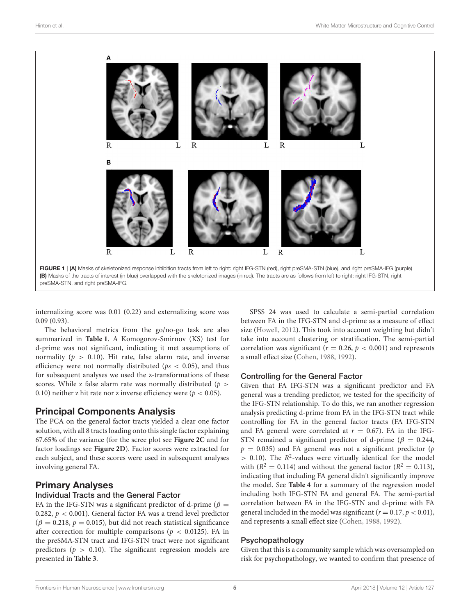

<span id="page-4-0"></span>internalizing score was 0.01 (0.22) and externalizing score was 0.09 (0.93).

The behavioral metrics from the go/no-go task are also summarized in **[Table 1](#page-6-0)**. A Komogorov-Smirnov (KS) test for d-prime was not significant, indicating it met assumptions of normality ( $p > 0.10$ ). Hit rate, false alarm rate, and inverse efficiency were not normally distributed ( $ps < 0.05$ ), and thus for subsequent analyses we used the z-transformations of these scores. While z false alarm rate was normally distributed ( $p >$ 0.10) neither z hit rate nor z inverse efficiency were ( $p < 0.05$ ).

### Principal Components Analysis

The PCA on the general factor tracts yielded a clear one factor solution, with all 8 tracts loading onto this single factor explaining 67.65% of the variance (for the scree plot see **[Figure 2C](#page-5-0)** and for factor loadings see **[Figure 2D](#page-5-0)**). Factor scores were extracted for each subject, and these scores were used in subsequent analyses involving general FA.

# Primary Analyses

### Individual Tracts and the General Factor

FA in the IFG-STN was a significant predictor of d-prime ( $\beta$  = 0.282,  $p < 0.001$ ). General factor FA was a trend level predictor  $(\beta = 0.218, p = 0.015)$ , but did not reach statistical significance after correction for multiple comparisons ( $p < 0.0125$ ). FA in the preSMA-STN tract and IFG-STN tract were not significant predictors ( $p > 0.10$ ). The significant regression models are presented in **[Table 3](#page-7-0)**.

SPSS 24 was used to calculate a semi-partial correlation between FA in the IFG-STN and d-prime as a measure of effect size [\(Howell, 2012\)](#page-9-20). This took into account weighting but didn't take into account clustering or stratification. The semi-partial correlation was significant ( $r = 0.26$ ,  $p < 0.001$ ) and represents a small effect size [\(Cohen, 1988,](#page-9-21) [1992\)](#page-9-22).

#### Controlling for the General Factor

Given that FA IFG-STN was a significant predictor and FA general was a trending predictor, we tested for the specificity of the IFG-STN relationship. To do this, we ran another regression analysis predicting d-prime from FA in the IFG-STN tract while controlling for FA in the general factor tracts (FA IFG-STN and FA general were correlated at  $r = 0.67$ ). FA in the IFG-STN remained a significant predictor of d-prime ( $\beta = 0.244$ ,  $p = 0.035$ ) and FA general was not a significant predictor (p  $> 0.10$ ). The  $R^2$ -values were virtually identical for the model with ( $R^2 = 0.114$ ) and without the general factor ( $R^2 = 0.113$ ), indicating that including FA general didn't significantly improve the model. See **[Table 4](#page-7-1)** for a summary of the regression model including both IFG-STN FA and general FA. The semi-partial correlation between FA in the IFG-STN and d-prime with FA general included in the model was significant ( $r = 0.17$ ,  $p < 0.01$ ), and represents a small effect size [\(Cohen, 1988,](#page-9-21) [1992\)](#page-9-22).

#### Psychopathology

Given that this is a community sample which was oversampled on risk for psychopathology, we wanted to confirm that presence of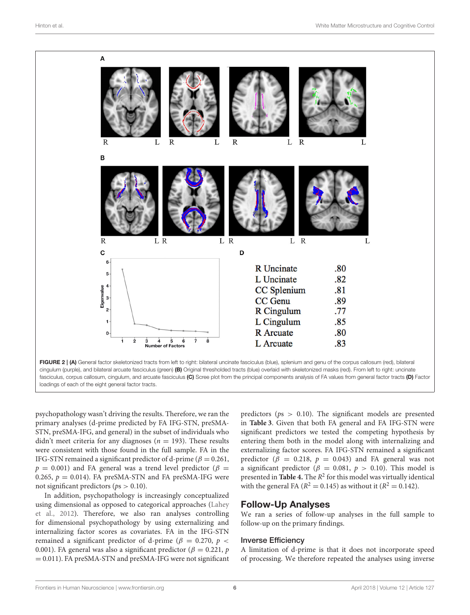

<span id="page-5-0"></span>loadings of each of the eight general factor tracts.

psychopathology wasn't driving the results. Therefore, we ran the primary analyses (d-prime predicted by FA IFG-STN, preSMA-STN, preSMA-IFG, and general) in the subset of individuals who didn't meet criteria for any diagnoses ( $n = 193$ ). These results were consistent with those found in the full sample. FA in the IFG-STN remained a significant predictor of d-prime ( $\beta = 0.261$ ,  $p = 0.001$ ) and FA general was a trend level predictor ( $\beta =$ 0.265,  $p = 0.014$ ). FA preSMA-STN and FA preSMA-IFG were not significant predictors ( $ps > 0.10$ ).

In addition, psychopathology is increasingly conceptualized using dimensional as opposed to categorical approaches (Lahey et al., [2012\)](#page-9-23). Therefore, we also ran analyses controlling for dimensional psychopathology by using externalizing and internalizing factor scores as covariates. FA in the IFG-STN remained a significant predictor of d-prime ( $\beta$  = 0.270,  $p$  < 0.001). FA general was also a significant predictor ( $\beta = 0.221$ , p = 0.011). FA preSMA-STN and preSMA-IFG were not significant predictors ( $ps > 0.10$ ). The significant models are presented in **[Table 3](#page-7-0)**. Given that both FA general and FA IFG-STN were significant predictors we tested the competing hypothesis by entering them both in the model along with internalizing and externalizing factor scores. FA IFG-STN remained a significant predictor ( $\beta$  = 0.218,  $p$  = 0.043) and FA general was not a significant predictor ( $\beta = 0.081$ ,  $p > 0.10$ ). This model is presented in **[Table 4.](#page-7-1)** The  $R^2$  for this model was virtually identical with the general FA ( $R^2 = 0.145$ ) as without it ( $R^2 = 0.142$ ).

# Follow-Up Analyses

We ran a series of follow-up analyses in the full sample to follow-up on the primary findings.

#### Inverse Efficiency

A limitation of d-prime is that it does not incorporate speed of processing. We therefore repeated the analyses using inverse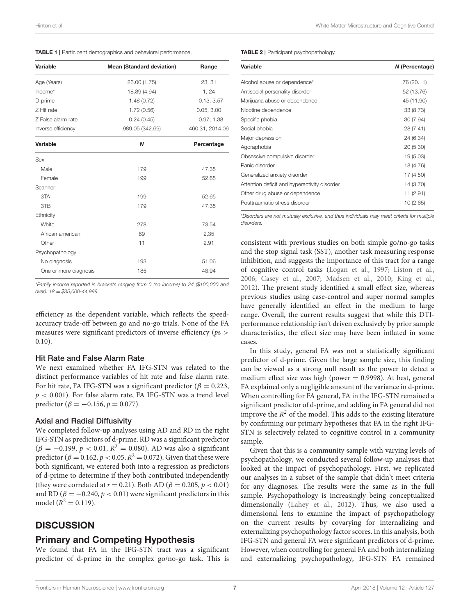<span id="page-6-0"></span>

| <b>TABLE 1</b>   Participant demographics and behavioral performance. |  |
|-----------------------------------------------------------------------|--|
|-----------------------------------------------------------------------|--|

| Variable              | <b>Mean (Standard deviation)</b> | Range<br>23, 31 |  |
|-----------------------|----------------------------------|-----------------|--|
| Age (Years)           | 26.00 (1.75)                     |                 |  |
| $Income*$             | 18.89 (4.94)                     | 1, 24           |  |
| D-prime               | 1.48(0.72)                       | $-0.13, 3.57$   |  |
| Z Hit rate            | 1.72(0.56)                       | 0.05, 3.00      |  |
| Z False alarm rate    | 0.24(0.45)                       | $-0.97, 1.38$   |  |
| Inverse efficiency    | 989.05 (342.69)                  | 460.31, 2014.06 |  |
| Variable              | N                                | Percentage      |  |
| Sex                   |                                  |                 |  |
| Male                  | 179                              | 47.35           |  |
| Female                | 199                              | 52.65           |  |
| Scanner               |                                  |                 |  |
| 3TA                   | 199                              | 52.65           |  |
| 3TB                   | 179                              | 47.35           |  |
| Ethnicity             |                                  |                 |  |
| White                 | 278                              | 73.54           |  |
| African american      | 89                               | 2.35            |  |
| Other                 | 11                               | 2.91            |  |
| Psychopathology       |                                  |                 |  |
| No diagnosis          | 193                              | 51.06           |  |
| One or more diagnosis | 185                              | 48.94           |  |

\**Family income reported in brackets ranging from 0 (no income) to 24 (\$100,000 and over). 18* = *\$35,000-44,999.*

efficiency as the dependent variable, which reflects the speedaccuracy trade-off between go and no-go trials. None of the FA measures were significant predictors of inverse efficiency ( $ps$ ) 0.10).

#### Hit Rate and False Alarm Rate

We next examined whether FA IFG-STN was related to the distinct performance variables of hit rate and false alarm rate. For hit rate, FA IFG-STN was a significant predictor ( $\beta = 0.223$ ,  $p < 0.001$ ). For false alarm rate, FA IFG-STN was a trend level predictor ( $\beta = -0.156$ ,  $p = 0.077$ ).

#### Axial and Radial Diffusivity

We completed follow-up analyses using AD and RD in the right IFG-STN as predictors of d-prime. RD was a significant predictor  $(\beta = -0.199, p < 0.01, R^2 = 0.080)$ . AD was also a significant predictor ( $\beta = 0.162$ ,  $p < 0.05$ ,  $R^2 = 0.072$ ). Given that these were both significant, we entered both into a regression as predictors of d-prime to determine if they both contributed independently (they were correlated at  $r = 0.21$ ). Both AD ( $\beta = 0.205$ ,  $p < 0.01$ ) and RD ( $\beta = -0.240$ ,  $p < 0.01$ ) were significant predictors in this model ( $R^2 = 0.119$ ).

# **DISCUSSION**

### Primary and Competing Hypothesis

We found that FA in the IFG-STN tract was a significant predictor of d-prime in the complex go/no-go task. This is

#### <span id="page-6-1"></span>TABLE 2 | Participant psychopathology.

| Variable                                     | N (Percentage) |
|----------------------------------------------|----------------|
| Alcohol abuse or dependence*                 | 76 (20.11)     |
| Antisocial personality disorder              | 52 (13.76)     |
| Marijuana abuse or dependence                | 45 (11.90)     |
| Nicotine dependence                          | 33 (8.73)      |
| Specific phobia                              | 30 (7.94)      |
| Social phobia                                | 28 (7.41)      |
| Major depression                             | 24 (6.34)      |
| Agoraphobia                                  | 20 (5.30)      |
| Obsessive compulsive disorder                | 19 (5.03)      |
| Panic disorder                               | 18 (4.76)      |
| Generalized anxiety disorder                 | 17 (4.50)      |
| Attention deficit and hyperactivity disorder | 14 (3.70)      |
| Other drug abuse or dependence               | 11 (2.91)      |
| Posttraumatic stress disorder                | 10(2.65)       |

\**Disorders are not mutually exclusive, and thus individuals may meet criteria for multiple disorders.*

consistent with previous studies on both simple go/no-go tasks and the stop signal task (SST), another task measuring response inhibition, and suggests the importance of this tract for a range of cognitive control tasks [\(Logan et al., 1997;](#page-10-18) [Liston et al.,](#page-10-4) [2006;](#page-10-4) [Casey et al., 2007;](#page-9-5) [Madsen et al., 2010;](#page-10-5) [King et al.,](#page-9-6) [2012\)](#page-9-6). The present study identified a small effect size, whereas previous studies using case-control and super normal samples have generally identified an effect in the medium to large range. Overall, the current results suggest that while this DTIperformance relationship isn't driven exclusively by prior sample characteristics, the effect size may have been inflated in some cases.

In this study, general FA was not a statistically significant predictor of d-prime. Given the large sample size, this finding can be viewed as a strong null result as the power to detect a medium effect size was high (power  $= 0.9998$ ). At best, general FA explained only a negligible amount of the variance in d-prime. When controlling for FA general, FA in the IFG-STN remained a significant predictor of d-prime, and adding in FA general did not improve the  $R^2$  of the model. This adds to the existing literature by confirming our primary hypotheses that FA in the right IFG-STN is selectively related to cognitive control in a community sample.

Given that this is a community sample with varying levels of psychopathology, we conducted several follow-up analyses that looked at the impact of psychopathology. First, we replicated our analyses in a subset of the sample that didn't meet criteria for any diagnoses. The results were the same as in the full sample. Psychopathology is increasingly being conceptualized dimensionally [\(Lahey et al., 2012\)](#page-9-23). Thus, we also used a dimensional lens to examine the impact of psychopathology on the current results by covarying for internalizing and externalizing psychopathology factor scores. In this analysis, both IFG-STN and general FA were significant predictors of d-prime. However, when controlling for general FA and both internalizing and externalizing psychopathology, IFG-STN FA remained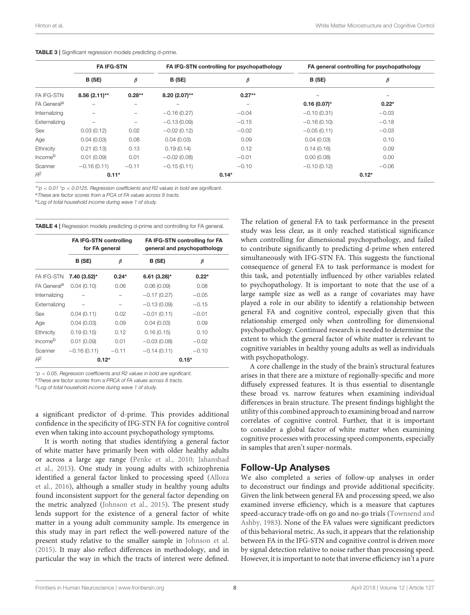|                         | <b>FA IFG-STN</b> |          | FA IFG-STN controlling for psychopathology |          | FA general controlling for psychopathology |         |
|-------------------------|-------------------|----------|--------------------------------------------|----------|--------------------------------------------|---------|
|                         | B (SE)            | β        | B (SE)                                     | β        | B (SE)                                     | β       |
| FA IFG-STN              | $8.56(2.11)$ **   | $0.28**$ | 8.20 (2.07)**                              | $0.27**$ | $\overline{\phantom{0}}$                   | -       |
| FA General <sup>a</sup> |                   |          |                                            | -        | $0.16(0.07)^*$                             | $0.22*$ |
| Internalizing           | $\qquad \qquad$   | -        | $-0.16(0.27)$                              | $-0.04$  | $-0.10(0.31)$                              | $-0.03$ |
| Externalizing           | -                 | -        | $-0.13(0.09)$                              | $-0.15$  | $-0.16(0.10)$                              | $-0.18$ |
| Sex                     | 0.03(0.12)        | 0.02     | $-0.02(0.12)$                              | $-0.02$  | $-0.05(0.11)$                              | $-0.03$ |
| Age                     | 0.04(0.03)        | 0.08     | 0.04(0.03)                                 | 0.09     | 0.04(0.03)                                 | 0.10    |
| Ethnicity               | 0.21(0.13)        | 0.13     | 0.19(0.14)                                 | 0.12     | 0.14(0.16)                                 | 0.09    |
| Income <sup>b</sup>     | 0.01(0.09)        | 0.01     | $-0.02(0.08)$                              | $-0.01$  | 0.00(0.08)                                 | 0.00    |
| Scanner                 | $-0.16(0.11)$     | $-0.11$  | $-0.15(0.11)$                              | $-0.10$  | $-0.10(0.12)$                              | $-0.06$ |
| $R^2$                   | $0.11*$           |          | $0.14*$                                    |          | $0.12*$                                    |         |

<span id="page-7-0"></span>TABLE 3 | Significant regression models predicting d-prime.

\*\**p* < *0.01* \**p* < *0.0125. Regression coefficients and R2 values in bold are significant.*

*<sup>a</sup>These are factor scores from a PCA of FA values across 8 tracts.*

*<sup>b</sup>Log of total household income during wave 1 of study.*

<span id="page-7-1"></span>

| <b>TABLE 4</b>   Regression models predicting d-prime and controlling for FA general. |  |  |
|---------------------------------------------------------------------------------------|--|--|
|---------------------------------------------------------------------------------------|--|--|

|                         | <b>FA IFG-STN controlling</b><br>for FA general |         | FA IFG-STN controlling for FA<br>general and psychopathology |         |  |
|-------------------------|-------------------------------------------------|---------|--------------------------------------------------------------|---------|--|
|                         | B (SE)                                          | β       | B (SE)                                                       | β       |  |
| <b>FA IFG-STN</b>       | 7.40 (3.52)*                                    | $0.24*$ | $6.61(3.28)$ *                                               | $0.22*$ |  |
| FA General <sup>a</sup> | 0.04(0.10)                                      | 0.06    | 0.06(0.09)                                                   | 0.08    |  |
| Internalizing           |                                                 |         | $-0.17(0.27)$                                                | $-0.05$ |  |
| Externalizing           |                                                 |         | $-0.13(0.09)$                                                | $-0.15$ |  |
| <b>Sex</b>              | 0.04(0.11)                                      | 0.02    | $-0.01(0.11)$                                                | $-0.01$ |  |
| Age                     | 0.04(0.03)                                      | 0.09    | 0.04(0.03)                                                   | 0.09    |  |
| Ethnicity               | 0.19(0.15)                                      | 0.12    | 0.16(0.15)                                                   | 0.10    |  |
| Income <sup>b</sup>     | 0.01(0.09)                                      | 0.01    | $-0.03(0.08)$                                                | $-0.02$ |  |
| Scanner                 | $-0.16(0.11)$                                   | $-0.11$ | $-0.14(0.11)$                                                | $-0.10$ |  |
| $R^2$                   | $0.12*$                                         |         | $0.15*$                                                      |         |  |

\**p* < *0.05. Regression coefficients and R2 values in bold are significant.*

*<sup>a</sup>These are factor scores from a PRCA of FA values across 8 tracts.*

*<sup>b</sup>Log of total household income during wave 1 of study.*

a significant predictor of d-prime. This provides additional confidence in the specificity of IFG-STN FA for cognitive control even when taking into account psychopathology symptoms.

It is worth noting that studies identifying a general factor of white matter have primarily been with older healthy adults or across a large age range [\(Penke et al., 2010;](#page-10-7) Jahanshad et al., [2013\)](#page-9-7). One study in young adults with schizophrenia identified a general factor linked to processing speed (Alloza et al., [2016\)](#page-9-9), although a smaller study in healthy young adults found inconsistent support for the general factor depending on the metric analyzed [\(Johnson et al., 2015\)](#page-9-8). The present study lends support for the existence of a general factor of white matter in a young adult community sample. Its emergence in this study may in part reflect the well-powered nature of the present study relative to the smaller sample in [Johnson et al.](#page-9-8) [\(2015\)](#page-9-8). It may also reflect differences in methodology, and in particular the way in which the tracts of interest were defined.

The relation of general FA to task performance in the present study was less clear, as it only reached statistical significance when controlling for dimensional psychopathology, and failed to contribute significantly to predicting d-prime when entered simultaneously with IFG-STN FA. This suggests the functional consequence of general FA to task performance is modest for this task, and potentially influenced by other variables related to psychopathology. It is important to note that the use of a large sample size as well as a range of covariates may have played a role in our ability to identify a relationship between general FA and cognitive control, especially given that this relationship emerged only when controlling for dimensional psychopathology. Continued research is needed to determine the extent to which the general factor of white matter is relevant to cognitive variables in healthy young adults as well as individuals with psychopathology.

A core challenge in the study of the brain's structural features arises in that there are a mixture of regionally-specific and more diffusely expressed features. It is thus essential to disentangle these broad vs. narrow features when examining individual differences in brain structure. The present findings highlight the utility of this combined approach to examining broad and narrow correlates of cognitive control. Further, that it is important to consider a global factor of white matter when examining cognitive processes with processing speed components, especially in samples that aren't super-normals.

# Follow-Up Analyses

We also completed a series of follow-up analyses in order to deconstruct our findings and provide additional specificity. Given the link between general FA and processing speed, we also examined inverse efficiency, which is a measure that captures speed-accuracy trade-offs on go and no-go trials (Townsend and Ashby, [1983\)](#page-10-12). None of the FA values were significant predictors of this behavioral metric. As such, it appears that the relationship between FA in the IFG-STN and cognitive control is driven more by signal detection relative to noise rather than processing speed. However, it is important to note that inverse efficiency isn't a pure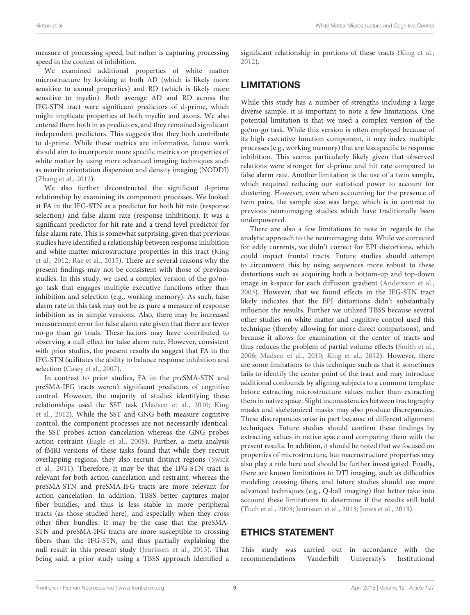measure of processing speed, but rather is capturing processing speed in the context of inhibition.

We examined additional properties of white matter microstructure by looking at both AD (which is likely more sensitive to axonal properties) and RD (which is likely more sensitive to myelin). Both average AD and RD across the IFG-STN tract were significant predictors of d-prime, which might implicate properties of both myelin and axons. We also entered them both in as predictors, and they remained significant independent predictors. This suggests that they both contribute to d-prime. While these metrics are informative, future work should aim to incorporate more specific metrics on properties of white matter by using more advanced imaging techniques such as neurite orientation dispersion and density imaging (NODDI) [\(Zhang et al., 2012\)](#page-10-19).

We also further deconstructed the significant d-prime relationship by examining its component processes. We looked at FA in the IFG-STN as a predictor for both hit rate (response selection) and false alarm rate (response inhibition). It was a significant predictor for hit rate and a trend level predictor for false alarm rate. This is somewhat surprising, given that previous studies have identified a relationship between response inhibition and white matter microstructure properties in this tract (King et al., [2012;](#page-9-6) [Rae et al., 2015\)](#page-10-6). There are several reasons why the present findings may not be consistent with those of previous studies. In this study, we used a complex version of the go/nogo task that engages multiple executive functions other than inhibition and selection (e.g., working memory). As such, false alarm rate in this task may not be as pure a measure of response inhibition as in simple versions. Also, there may be increased measurement error for false alarm rate given that there are fewer no-go than go trials. These factors may have contributed to observing a null effect for false alarm rate. However, consistent with prior studies, the present results do suggest that FA in the IFG-STN facilitates the ability to balance response inhibition and selection [\(Casey et al., 2007\)](#page-9-5).

In contrast to prior studies, FA in the preSMA-STN and preSMA-IFG tracts weren't significant predictors of cognitive control. However, the majority of studies identifying these relationships used the SST task [\(Madsen et al., 2010;](#page-10-5) King et al., [2012\)](#page-9-6). While the SST and GNG both measure cognitive control, the component processes are not necessarily identical: the SST probes action cancelation whereas the GNG probes action restraint [\(Eagle et al., 2008\)](#page-9-24). Further, a meta-analysis of fMRI versions of these tasks found that while they recruit overlapping regions, they also recruit distinct regions (Swick et al., [2011\)](#page-10-20). Therefore, it may be that the IFG-STN tract is relevant for both action cancelation and restraint, whereas the preSMA-STN and preSMA-IFG tracts are more relevant for action cancelation. In addition, TBSS better captures major fiber bundles, and thus is less stable in more peripheral tracts (as those studied here), and especially when they cross other fiber bundles. It may be the case that the preSMA-STN and preSMA-IFG tracts are more susceptible to crossing fibers than the IFG-STN, and thus partially explaining the null result in this present study [\(Jeurissen et al., 2013\)](#page-9-25). That being said, a prior study using a TBSS approach identified a significant relationship in portions of these tracts [\(King et al.,](#page-9-6) [2012\)](#page-9-6).

# LIMITATIONS

While this study has a number of strengths including a large diverse sample, it is important to note a few limitations. One potential limitation is that we used a complex version of the go/no-go task. While this version is often employed because of its high executive function component, it may index multiple processes (e.g., working memory) that are less specific to response inhibition. This seems particularly likely given that observed relations were stronger for d-prime and hit rate compared to false alarm rate. Another limitation is the use of a twin sample, which required reducing our statistical power to account for clustering. However, even when accounting for the presence of twin pairs, the sample size was large, which is in contrast to previous neuroimaging studies which have traditionally been underpowered.

There are also a few limitations to note in regards to the analytic approach to the neuroimaging data. While we corrected for eddy currents, we didn't correct for EPI distortions, which could impact frontal tracts. Future studies should attempt to circumvent this by using sequences more robust to these distortions such as acquiring both a bottom-up and top-down image in k-space for each diffusion gradient [\(Andersson et al.,](#page-9-26) [2003\)](#page-9-26). However, that we found effects in the IFG-STN tract likely indicates that the EPI distortions didn't substantially influence the results. Further we utilized TBSS because several other studies on white matter and cognitive control used this technique (thereby allowing for more direct comparisons), and because it allows for examination of the center of tracts and thus reduces the problem of partial volume effects [\(Smith et al.,](#page-10-14) [2006;](#page-10-14) [Madsen et al., 2010;](#page-10-5) [King et al., 2012\)](#page-9-6). However, there are some limitations to this technique such as that it sometimes fails to identify the center point of the tract and may introduce additional confounds by aligning subjects to a common template before extracting microstructure values rather than extracting them in native space. Slight inconsistencies between tractography masks and skeletonized masks may also produce discrepancies. These discrepancies arise in part because of different alignment techniques. Future studies should confirm these findings by extracting values in native space and comparing them with the present results. In addition, it should be noted that we focused on properties of microstructure, but macrostructure properties may also play a role here and should be further investigated. Finally, there are known limitations to DTI imaging, such as difficulties modeling crossing fibers, and future studies should use more advanced techniques (e.g., Q-ball imaging) that better take into account these limitations to determine if the results still hold [\(Tuch et al., 2003;](#page-10-21) [Jeurissen et al., 2013;](#page-9-25) [Jones et al., 2013\)](#page-9-27).

# ETHICS STATEMENT

This study was carried out in accordance with the recommendations Vanderbilt University's Institutional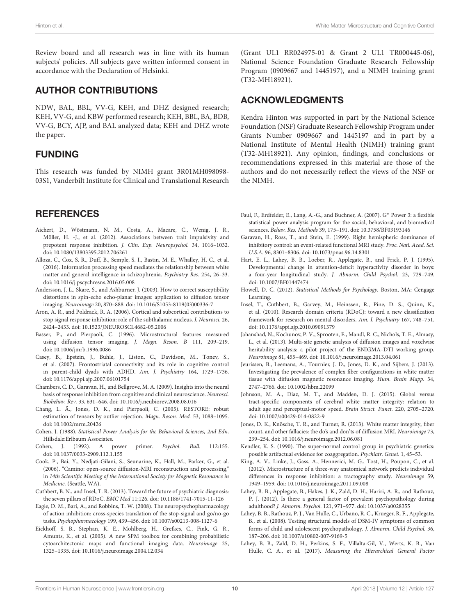Review board and all research was in line with its human subjects' policies. All subjects gave written informed consent in accordance with the Declaration of Helsinki.

# AUTHOR CONTRIBUTIONS

NDW, BAL, BBL, VV-G, KEH, and DHZ designed research; KEH, VV-G, and KBW performed research; KEH, BBL, BA, BDB, VV-G, BCY, AJP, and BAL analyzed data; KEH and DHZ wrote the paper.

# FUNDING

This research was funded by NIMH grant 3R01MH098098- 03S1, Vanderbilt Institute for Clinical and Translational Research

# **REFERENCES**

- <span id="page-9-0"></span>Aichert, D., Wöstmann, N. M., Costa, A., Macare, C., Wenig, J. R., Möller, H. -J., et al. (2012). Associations between trait impulsivity and prepotent response inhibition. J. Clin. Exp. Neuropsychol. 34, 1016–1032. doi: [10.1080/13803395.2012.706261](https://doi.org/10.1080/13803395.2012.706261)
- <span id="page-9-9"></span>Alloza, C., Cox, S. R., Duff, B., Semple, S. I., Bastin, M. E., Whalley, H. C., et al. (2016). Information processing speed mediates the relationship between white matter and general intelligence in schizophrenia. Psychiatry Res. 254, 26–33. doi: [10.1016/j.pscychresns.2016.05.008](https://doi.org/10.1016/j.pscychresns.2016.05.008)
- <span id="page-9-26"></span>Andersson, J. L., Skare, S., and Ashburner, J. (2003). How to correct susceptibility distortions in spin-echo echo-planar images: application to diffusion tensor imaging. Neuroimage 20, 870–888. doi: [10.1016/S1053-8119\(03\)00336-7](https://doi.org/10.1016/S1053-8119(03)00336-7)
- <span id="page-9-3"></span>Aron, A. R., and Poldrack, R. A. (2006). Cortical and subcortical contributions to stop signal response inhibition: role of the subthalamic nucleus. J. Neurosci. 26, 2424–2433. doi: [10.1523/JNEUROSCI.4682-05.2006](https://doi.org/10.1523/JNEUROSCI.4682-05.2006)
- <span id="page-9-4"></span>Basser, P., and Pierpaoli, C. (1996). Microstructural features measured using diffusion tensor imaging. J. Magn. Reson. B 111, 209–219. doi: [10.1006/jmrb.1996.0086](https://doi.org/10.1006/jmrb.1996.0086)
- <span id="page-9-5"></span>Casey, B., Epstein, J., Buhle, J., Liston, C., Davidson, M., Tonev, S., et al. (2007). Frontostriatal connectivity and its role in cognitive control in parent-child dyads with ADHD. Am. J. Psychiatry 164, 1729–1736. doi: [10.1176/appi.ajp.2007.06101754](https://doi.org/10.1176/appi.ajp.2007.06101754)
- <span id="page-9-2"></span>Chambers, C. D., Garavan, H., and Bellgrove, M. A. (2009). Insights into the neural basis of response inhibition from cognitive and clinical neuroscience. Neurosci. Biobehav. Rev. 33, 631–646. doi: [10.1016/j.neubiorev.2008.08.016](https://doi.org/10.1016/j.neubiorev.2008.08.016)
- <span id="page-9-17"></span>Chang, L. Ä., Jones, D. K., and Pierpaoli, C. (2005). RESTORE: robust estimation of tensors by outlier rejection. Magn. Reson. Med. 53, 1088–1095. doi: [10.1002/mrm.20426](https://doi.org/10.1002/mrm.20426)
- <span id="page-9-21"></span>Cohen, J. (1988). Statistical Power Analysis for the Behavioral Sciences, 2nd Edn. Hillsdale:Erlbaum Associates.
- <span id="page-9-22"></span>Cohen, J. (1992). A power primer. Psychol. Bull. 112:155. doi: [10.1037/0033-2909.112.1.155](https://doi.org/10.1037/0033-2909.112.1.155)
- <span id="page-9-16"></span>Cook, P., Bai, Y., Nedjati-Gilani, S., Seunarine, K., Hall, M., Parker, G., et al. (2006). "Camino: open-source diffusion-MRI reconstruction and processing," in 14th Scientific Meeting of the International Society for Magnetic Resonance in Medicine. (Seattle, WA).
- <span id="page-9-11"></span>Cuthbert, B. N., and Insel, T. R. (2013). Toward the future of psychiatric diagnosis: the seven pillars of RDoC. BMC Med 11:126. doi: [10.1186/1741-7015-11-126](https://doi.org/10.1186/1741-7015-11-126)
- <span id="page-9-24"></span>Eagle, D. M., Bari, A., and Robbins, T. W. (2008). The neuropsychopharmacology of action inhibition: cross-species translation of the stop-signal and go/no-go tasks. Psychopharmacology 199, 439–456. doi: [10.1007/s00213-008-1127-6](https://doi.org/10.1007/s00213-008-1127-6)
- <span id="page-9-18"></span>Eickhoff, S. B., Stephan, K. E., Mohlberg, H., Grefkes, C., Fink, G. R., Amunts, K., et al. (2005). A new SPM toolbox for combining probabilistic cytoarchitectonic maps and functional imaging data. Neuroimage 25, 1325–1335. doi: [10.1016/j.neuroimage.2004.12.034](https://doi.org/10.1016/j.neuroimage.2004.12.034)

(Grant UL1 RR024975-01 & Grant 2 UL1 TR000445-06), National Science Foundation Graduate Research Fellowship Program (0909667 and 1445197), and a NIMH training grant (T32-MH18921).

# ACKNOWLEDGMENTS

Kendra Hinton was supported in part by the National Science Foundation (NSF) Graduate Research Fellowship Program under Grants Number 0909667 and 1445197 and in part by a National Institute of Mental Health (NIMH) training grant (T32-MH18921). Any opinion, findings, and conclusions or recommendations expressed in this material are those of the authors and do not necessarily reflect the views of the NSF or the NIMH.

- <span id="page-9-19"></span>Faul, F., Erdfelder, E., Lang, A.-G., and Buchner, A. (2007). G<sup>∗</sup> Power 3: a flexible statistical power analysis program for the social, behavioral, and biomedical sciences. Behav. Res. Methods 39, 175–191. doi: [10.3758/BF03193146](https://doi.org/10.3758/BF03193146)
- <span id="page-9-1"></span>Garavan, H., Ross, T., and Stein, E. (1999). Right hemispheric dominance of inhibitory control: an event-related functional MRI study. Proc. Natl. Acad. Sci. U.S.A. 96, 8301–8306. doi: [10.1073/pnas.96.14.8301](https://doi.org/10.1073/pnas.96.14.8301)
- <span id="page-9-14"></span>Hart, E. L., Lahey, B. B., Loeber, R., Applegate, B., and Frick, P. J. (1995). Developmental change in attention-deficit hyperactivity disorder in boys: a four-year longitudinal study. J. Abnorm. Child Psychol. 23, 729–749. doi: [10.1007/BF01447474](https://doi.org/10.1007/BF01447474)
- <span id="page-9-20"></span>Howell, D. C. (2012). Statistical Methods for Psychology. Boston, MA: Cengage Learning.
- <span id="page-9-12"></span>Insel, T., Cuthbert, B., Garvey, M., Heinssen, R., Pine, D. S., Quinn, K., et al. (2010). Research domain criteria (RDoC): toward a new classification framework for research on mental disorders. Am. J. Psychiatry 167, 748–751. doi: [10.1176/appi.ajp.2010.09091379](https://doi.org/10.1176/appi.ajp.2010.09091379)
- <span id="page-9-7"></span>Jahanshad, N., Kochunov, P. V., Sprooten, E., Mandl, R. C., Nichols, T. E., Almasy, L., et al. (2013). Multi-site genetic analysis of diffusion images and voxelwise heritability analysis: a pilot project of the ENIGMA–DTI working group. Neuroimage 81, 455–469. doi: [10.1016/j.neuroimage.2013.04.061](https://doi.org/10.1016/j.neuroimage.2013.04.061)
- <span id="page-9-25"></span>Jeurissen, B., Leemans, A., Tournier, J. D., Jones, D. K., and Sijbers, J. (2013). Investigating the prevalence of complex fiber configurations in white matter tissue with diffusion magnetic resonance imaging. Hum. Brain Mapp. 34, 2747–2766. doi: [10.1002/hbm.22099](https://doi.org/10.1002/hbm.22099)
- <span id="page-9-8"></span>Johnson, M. A., Diaz, M. T., and Madden, D. J. (2015). Global versus tract-specific components of cerebral white matter integrity: relation to adult age and perceptual-motor speed. Brain Struct. Funct. 220, 2705–2720. doi: [10.1007/s00429-014-0822-9](https://doi.org/10.1007/s00429-014-0822-9)
- <span id="page-9-27"></span>Jones, D. K., Knösche, T. R., and Turner, R. (2013). White matter integrity, fiber count, and other fallacies: the do's and don'ts of diffusion MRI. Neuroimage 73, 239–254. doi: [10.1016/j.neuroimage.2012.06.081](https://doi.org/10.1016/j.neuroimage.2012.06.081)
- <span id="page-9-10"></span>Kendler, K. S. (1990). The super-normal control group in psychiatric genetics: possible artifactual evidence for coaggregation. Psychiatr. Genet. 1, 45–53.
- <span id="page-9-6"></span>King, A. V., Linke, J., Gass, A., Hennerici, M. G., Tost, H., Poupon, C., et al. (2012). Microstructure of a three-way anatomical network predicts individual differences in response inhibition: a tractography study. Neuroimage 59, 1949–1959. doi: [10.1016/j.neuroimage.2011.09.008](https://doi.org/10.1016/j.neuroimage.2011.09.008)
- <span id="page-9-23"></span>Lahey, B. B., Applegate, B., Hakes, J. K., Zald, D. H., Hariri, A. R., and Rathouz, P. J. (2012). Is there a general factor of prevalent psychopathology during adulthood? J. Abnorm. Psychol. 121, 971–977. doi: [10.1037/a0028355](https://doi.org/10.1037/a0028355)
- <span id="page-9-13"></span>Lahey, B. B., Rathouz, P. J., Van Hulle, C., Urbano, R. C., Krueger, R. F., Applegate, B., et al. (2008). Testing structural models of DSM-IV symptoms of common forms of child and adolescent psychopathology. J. Abnorm. Child Psychol. 36, 187–206. doi: [10.1007/s10802-007-9169-5](https://doi.org/10.1007/s10802-007-9169-5)
- <span id="page-9-15"></span>Lahey, B. B., Zald, D. H., Perkins, S. F., Villalta-Gil, V., Werts, K. B., Van Hulle, C. A., et al. (2017). Measuring the Hierarchical General Factor